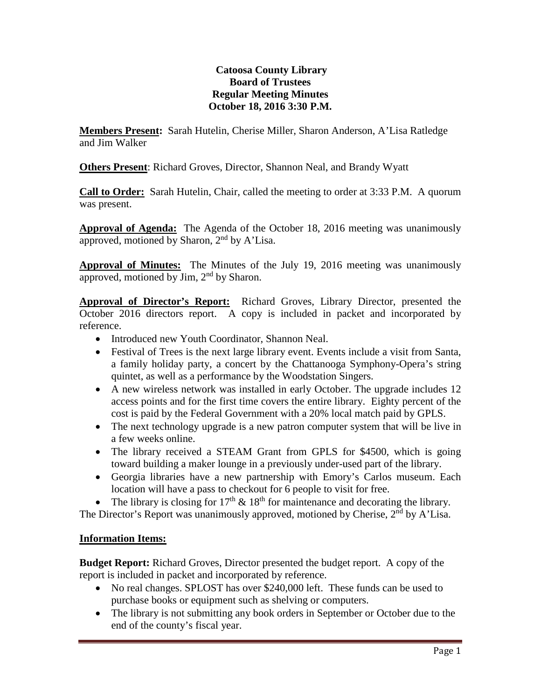## **Catoosa County Library Board of Trustees Regular Meeting Minutes October 18, 2016 3:30 P.M.**

**Members Present:** Sarah Hutelin, Cherise Miller, Sharon Anderson, A'Lisa Ratledge and Jim Walker

**Others Present**: Richard Groves, Director, Shannon Neal, and Brandy Wyatt

**Call to Order:** Sarah Hutelin, Chair, called the meeting to order at 3:33 P.M. A quorum was present.

**Approval of Agenda:** The Agenda of the October 18, 2016 meeting was unanimously approved, motioned by Sharon,  $2<sup>nd</sup>$  by A'Lisa.

**Approval of Minutes:** The Minutes of the July 19, 2016 meeting was unanimously approved, motioned by Jim, 2<sup>nd</sup> by Sharon.

**Approval of Director's Report:** Richard Groves, Library Director, presented the October 2016 directors report. A copy is included in packet and incorporated by reference.

- Introduced new Youth Coordinator, Shannon Neal.
- Festival of Trees is the next large library event. Events include a visit from Santa, a family holiday party, a concert by the Chattanooga Symphony-Opera's string quintet, as well as a performance by the Woodstation Singers.
- A new wireless network was installed in early October. The upgrade includes 12 access points and for the first time covers the entire library. Eighty percent of the cost is paid by the Federal Government with a 20% local match paid by GPLS.
- The next technology upgrade is a new patron computer system that will be live in a few weeks online.
- The library received a STEAM Grant from GPLS for \$4500, which is going toward building a maker lounge in a previously under-used part of the library.
- Georgia libraries have a new partnership with Emory's Carlos museum. Each location will have a pass to checkout for 6 people to visit for free.

The library is closing for  $17<sup>th</sup> \& 18<sup>th</sup>$  for maintenance and decorating the library.

The Director's Report was unanimously approved, motioned by Cherise,  $2<sup>nd</sup>$  by A'Lisa.

## **Information Items:**

**Budget Report:** Richard Groves, Director presented the budget report. A copy of the report is included in packet and incorporated by reference.

- No real changes. SPLOST has over \$240,000 left. These funds can be used to purchase books or equipment such as shelving or computers.
- The library is not submitting any book orders in September or October due to the end of the county's fiscal year.